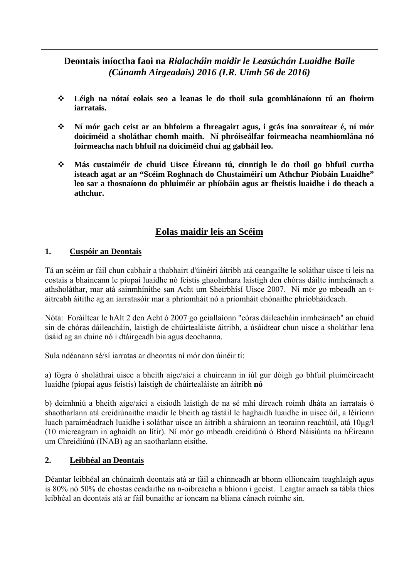# **Deontais iníoctha faoi na** *Rialacháin maidir le Leasúchán Luaidhe Baile (Cúnamh Airgeadais) 2016 (I.R. Uimh 56 de 2016)*

- **Léigh na nótaí eolais seo a leanas le do thoil sula gcomhlánaíonn tú an fhoirm iarratais.**
- **Ní mór gach ceist ar an bhfoirm a fhreagairt agus, i gcás ina sonraítear é, ní mór doiciméid a sholáthar chomh maith. Ní phróiseálfar foirmeacha neamhiomlána nó foirmeacha nach bhfuil na doiciméid chuí ag gabháil leo.**
- **Más custaiméir de chuid Uisce Éireann tú, cinntigh le do thoil go bhfuil curtha isteach agat ar an "Scéim Roghnach do Chustaiméirí um Athchur Píobáin Luaidhe" leo sar a thosnaíonn do phluiméir ar phíobáin agus ar fheistis luaidhe i do theach a athchur.**

# **Eolas maidir leis an Scéim**

#### **1. Cuspóir an Deontais**

Tá an scéim ar fáil chun cabhair a thabhairt d'úinéirí áitribh atá ceangailte le soláthar uisce tí leis na costais a bhaineann le píopaí luaidhe nó feistis ghaolmhara laistigh den chóras dáilte inmheánach a athsholáthar, mar atá sainmhínithe san Acht um Sheirbhísí Uisce 2007. Ní mór go mbeadh an táitreabh áitithe ag an iarratasóir mar a phríomháit nó a príomháit chónaithe phríobháideach.

Nóta: Foráiltear le hAlt 2 den Acht ó 2007 go gciallaíonn "córas dáileacháin inmheánach" an chuid sin de chóras dáileacháin, laistigh de chúirtealáiste áitribh, a úsáidtear chun uisce a sholáthar lena úsáid ag an duine nó i dtáirgeadh bia agus deochanna.

Sula ndéanann sé/sí iarratas ar dheontas ní mór don úinéir tí:

a) fógra ó sholáthraí uisce a bheith aige/aici a chuireann in iúl gur dóigh go bhfuil pluiméireacht luaidhe (píopaí agus feistis) laistigh de chúirtealáiste an áitribh **nó**

b) deimhniú a bheith aige/aici a eisíodh laistigh de na sé mhí díreach roimh dháta an iarratais ó shaotharlann atá creidiúnaithe maidir le bheith ag tástáil le haghaidh luaidhe in uisce óil, a léiríonn luach paraiméadrach luaidhe i soláthar uisce an áitribh a sháraíonn an teorainn reachtúil, atá 10μg/l (10 micreagram in aghaidh an lítir). Ní mór go mbeadh creidiúnú ó Bhord Náisiúnta na hÉireann um Chreidiúnú (INAB) ag an saotharlann eisithe.

#### **2. Leibhéal an Deontais**

Déantar leibhéal an chúnaimh deontais atá ar fáil a chinneadh ar bhonn ollioncaim teaghlaigh agus is 80% nó 50% de chostas ceadaithe na n-oibreacha a bhíonn i gceist. Leagtar amach sa tábla thíos leibhéal an deontais atá ar fáil bunaithe ar ioncam na bliana cánach roimhe sin.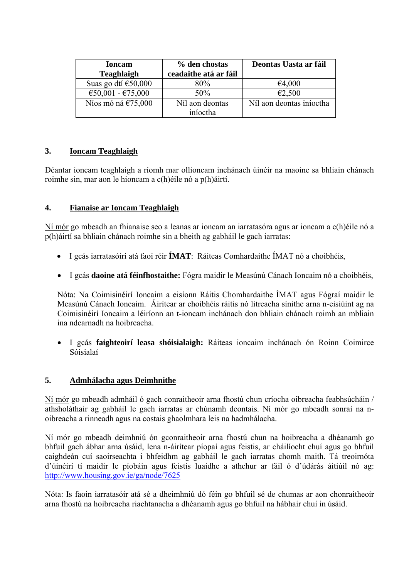| <b>Ioncam</b><br><b>Teaghlaigh</b> | % den chostas<br>ceadaithe atá ar fáil | Deontas Uasta ar fáil    |
|------------------------------------|----------------------------------------|--------------------------|
| Suas go dtí $\epsilon$ 50,000      | 80%                                    | €4,000                   |
| €50,001 - €75,000                  | 50%                                    | €2,500                   |
| Níos mó ná $£75,000$               | Níl aon deontas<br>iníoctha            | Níl aon deontas iníoctha |

## **3. Ioncam Teaghlaigh**

Déantar ioncam teaghlaigh a ríomh mar ollioncam inchánach úinéir na maoine sa bhliain chánach roimhe sin, mar aon le hioncam a c(h)éile nó a p(h)áirtí.

## **4. Fianaise ar Ioncam Teaghlaigh**

Ní mór go mbeadh an fhianaise seo a leanas ar ioncam an iarratasóra agus ar ioncam a c(h)éile nó a p(h)áirtí sa bhliain chánach roimhe sin a bheith ag gabháil le gach iarratas:

- I gcás iarratasóirí atá faoi réir **ÍMAT**: Ráiteas Comhardaithe ÍMAT nó a choibhéis,
- I gcás **daoine atá féinfhostaithe:** Fógra maidir le Measúnú Cánach Ioncaim nó a choibhéis,

Nóta: Na Coimisinéirí Ioncaim a eisíonn Ráitis Chomhardaithe ÍMAT agus Fógraí maidir le Measúnú Cánach Ioncaim. Áirítear ar choibhéis ráitis nó litreacha sínithe arna n-eisiúint ag na Coimisinéirí Ioncaim a léiríonn an t-ioncam inchánach don bhliain chánach roimh an mbliain ina ndearnadh na hoibreacha.

• I gcás **faighteoirí leasa shóisialaigh:** Ráiteas ioncaim inchánach ón Roinn Coimirce Sóisialaí

#### **5. Admhálacha agus Deimhnithe**

Ní mór go mbeadh admháil ó gach conraitheoir arna fhostú chun críocha oibreacha feabhsúcháin / athsholáthair ag gabháil le gach iarratas ar chúnamh deontais. Ní mór go mbeadh sonraí na noibreacha a rinneadh agus na costais ghaolmhara leis na hadmhálacha.

Ní mór go mbeadh deimhniú ón gconraitheoir arna fhostú chun na hoibreacha a dhéanamh go bhfuil gach ábhar arna úsáid, lena n-áirítear píopaí agus feistis, ar cháilíocht chuí agus go bhfuil caighdeán cuí saoirseachta i bhfeidhm ag gabháil le gach iarratas chomh maith. Tá treoirnóta d'úinéirí tí maidir le píobáin agus feistis luaidhe a athchur ar fáil ó d'údárás áitiúil nó ag: http://www.housing.gov.ie/ga/node/7625

Nóta: Is faoin iarratasóir atá sé a dheimhniú dó féin go bhfuil sé de chumas ar aon chonraitheoir arna fhostú na hoibreacha riachtanacha a dhéanamh agus go bhfuil na hábhair chuí in úsáid.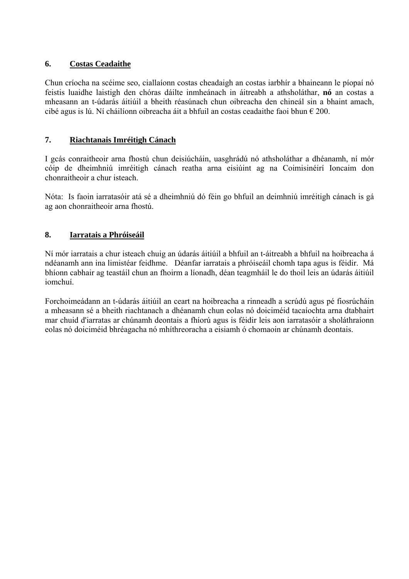#### **6. Costas Ceadaithe**

Chun críocha na scéime seo, ciallaíonn costas cheadaigh an costas iarbhír a bhaineann le píopaí nó feistis luaidhe laistigh den chóras dáilte inmheánach in áitreabh a athsholáthar, **nó** an costas a mheasann an t-údarás áitiúil a bheith réasúnach chun oibreacha den chineál sin a bhaint amach, cibé agus is lú. Ní cháilíonn oibreacha áit a bhfuil an costas ceadaithe faoi bhun  $\epsilon$  200.

## **7. Riachtanais Imréitigh Cánach**

I gcás conraitheoir arna fhostú chun deisiúcháin, uasghrádú nó athsholáthar a dhéanamh, ní mór cóip de dheimhniú imréitigh cánach reatha arna eisiúint ag na Coimisinéirí Ioncaim don chonraitheoir a chur isteach.

Nóta: Is faoin iarratasóir atá sé a dheimhniú dó féin go bhfuil an deimhniú imréitigh cánach is gá ag aon chonraitheoir arna fhostú.

## **8. Iarratais a Phróiseáil**

Ní mór iarratais a chur isteach chuig an údarás áitiúil a bhfuil an t-áitreabh a bhfuil na hoibreacha á ndéanamh ann ina limistéar feidhme. Déanfar iarratais a phróiseáil chomh tapa agus is féidir. Má bhíonn cabhair ag teastáil chun an fhoirm a líonadh, déan teagmháil le do thoil leis an údarás áitiúil iomchuí.

Forchoimeádann an t-údarás áitiúil an ceart na hoibreacha a rinneadh a scrúdú agus pé fiosrúcháin a mheasann sé a bheith riachtanach a dhéanamh chun eolas nó doiciméid tacaíochta arna dtabhairt mar chuid d'iarratas ar chúnamh deontais a fhíorú agus is féidir leis aon iarratasóir a sholáthraíonn eolas nó doiciméid bhréagacha nó mhíthreoracha a eisiamh ó chomaoin ar chúnamh deontais.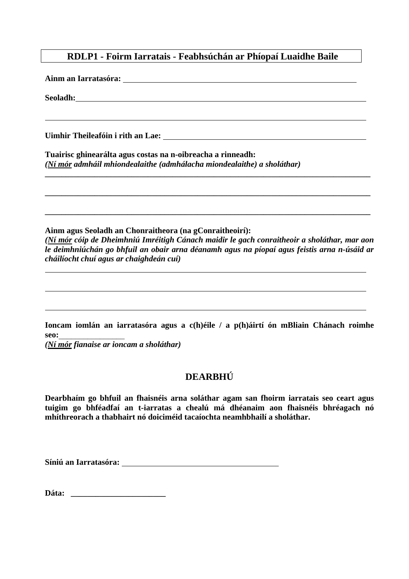# **RDLP1 - Foirm Iarratais - Feabhsúchán ar Phíopaí Luaidhe Baile**

**Ainm an Iarratasóra:**

**Seoladh:** 

**Uimhir Theileafóin i rith an Lae:** 

**Tuairisc ghinearálta agus costas na n-oibreacha a rinneadh:**  *(Ní mór admháil mhiondealaithe (admhálacha miondealaithe) a sholáthar)* 

**Ainm agus Seoladh an Chonraitheora (na gConraitheoirí):**  *(Ní mór cóip de Dheimhniú Imréitigh Cánach maidir le gach conraitheoir a sholáthar, mar aon le deimhniúchán go bhfuil an obair arna déanamh agus na píopaí agus feistis arna n-úsáid ar cháilíocht chuí agus ar chaighdeán cuí)* 

**\_\_\_\_\_\_\_\_\_\_\_\_\_\_\_\_\_\_\_\_\_\_\_\_\_\_\_\_\_\_\_\_\_\_\_\_\_\_\_\_\_\_\_\_\_\_\_\_\_\_\_\_\_\_\_\_\_\_\_\_\_\_\_\_\_\_\_\_\_\_\_\_\_\_\_\_\_\_\_** 

**\_\_\_\_\_\_\_\_\_\_\_\_\_\_\_\_\_\_\_\_\_\_\_\_\_\_\_\_\_\_\_\_\_\_\_\_\_\_\_\_\_\_\_\_\_\_\_\_\_\_\_\_\_\_\_\_\_\_\_\_\_\_\_\_\_\_\_\_\_\_\_\_\_\_\_\_\_\_\_** 

**\_\_\_\_\_\_\_\_\_\_\_\_\_\_\_\_\_\_\_\_\_\_\_\_\_\_\_\_\_\_\_\_\_\_\_\_\_\_\_\_\_\_\_\_\_\_\_\_\_\_\_\_\_\_\_\_\_\_\_\_\_\_\_\_\_\_\_\_\_\_\_\_\_\_\_\_\_\_\_** 

**Ioncam iomlán an iarratasóra agus a c(h)éile / a p(h)áirtí ón mBliain Chánach roimhe seo:**\_\_\_\_\_\_\_\_\_\_\_\_\_\_\_\_

*(Ní mór fianaise ar ioncam a sholáthar)* 

# **DEARBHÚ**

**Dearbhaím go bhfuil an fhaisnéis arna soláthar agam san fhoirm iarratais seo ceart agus tuigim go bhféadfaí an t-iarratas a chealú má dhéanaim aon fhaisnéis bhréagach nó mhíthreorach a thabhairt nó doiciméid tacaíochta neamhbhailí a sholáthar.** 

**Síniú an Iarratasóra:** 

**Dáta: \_\_\_\_\_\_\_\_\_\_\_\_\_\_\_\_\_\_\_\_\_\_\_**